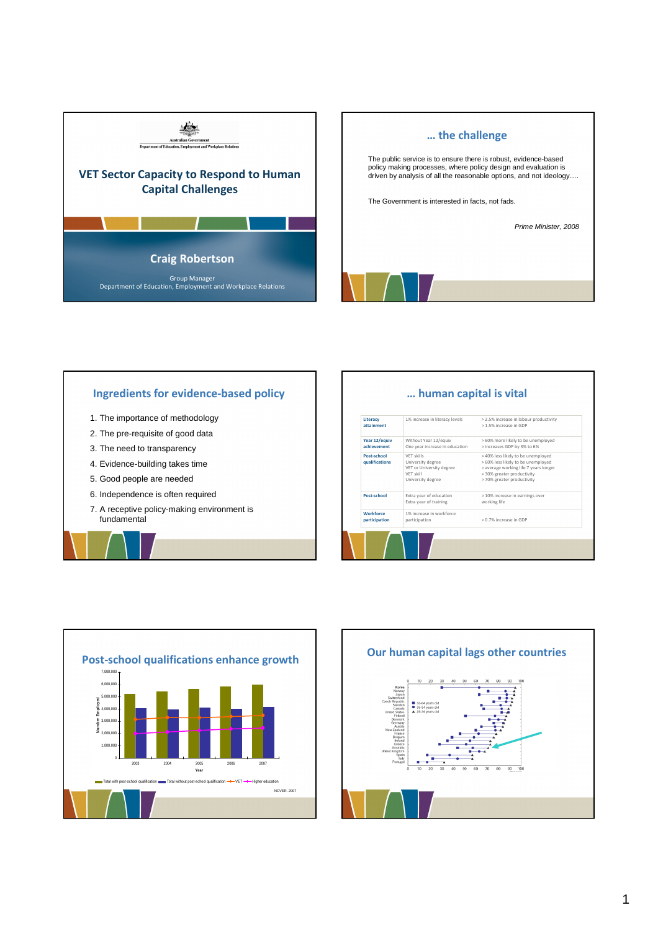



## Ingredients for evidence-based policy 1. The importance of methodology 2. The pre-requisite of good data 3. The need to transparency 4. Evidence-building takes time 5. Good people are needed 6. Independence is often required 7. A receptive policy-making environment is fundamental … human capital is vital **Workforce** participation Post-school Post-school qualifications Year 12/equiv achievement **Literacy** attainment

| Literacy<br>attainment            | 1% increase in literacy levels                                                                | > 2.5% increase in labour productivity<br>> 1.5% increase in GDP                                                                                                              |
|-----------------------------------|-----------------------------------------------------------------------------------------------|-------------------------------------------------------------------------------------------------------------------------------------------------------------------------------|
| Year 12/equiv<br>achievement      | Without Year 12/equiv<br>One year increase in education                                       | > 60% more likely to be unemployed<br>> increases GDP by 3% to 6%                                                                                                             |
| Post-school<br>qualifications     | VFT skills<br>University degree<br>VET or University degree<br>VFT skill<br>University degree | > 40% less likely to be unemployed<br>> 60% less likely to be unemployed<br>> average working life 7 years longer<br>> 30% greater productivity<br>> 70% greater productivity |
| Post-school                       | Extra year of education<br>Extra year of training                                             | > 10% increase in earnings over<br>working life                                                                                                                               |
| <b>Workforce</b><br>participation | 1% increase in workforce<br>participation                                                     | > 0.7% increase in GDP                                                                                                                                                        |
|                                   |                                                                                               |                                                                                                                                                                               |